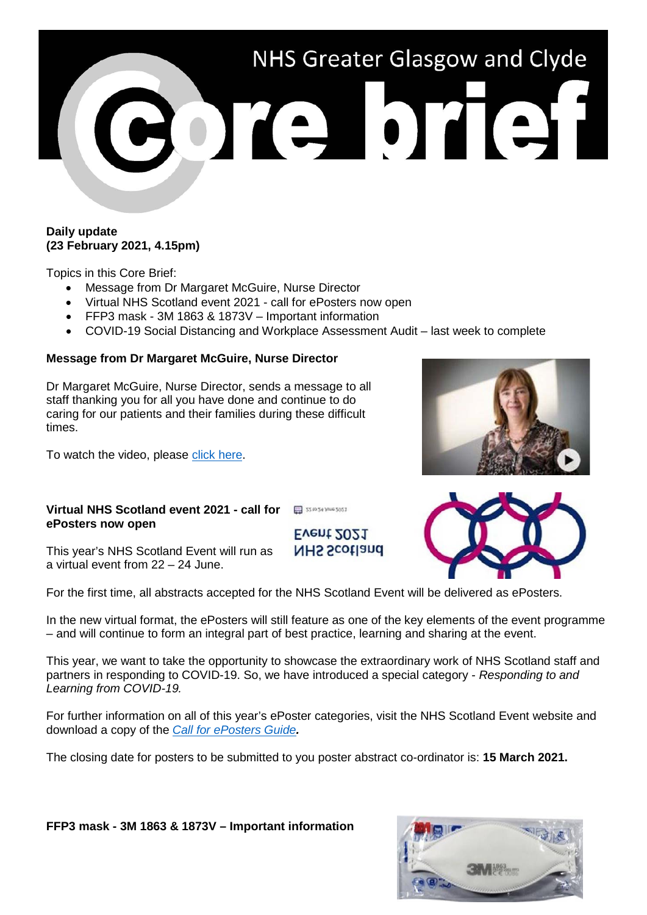# NHS Greater Glasgow and Clyde bre brief

# **Daily update (23 February 2021, 4.15pm)**

Topics in this Core Brief:

- Message from Dr Margaret McGuire, Nurse Director
- Virtual NHS Scotland event 2021 call for ePosters now open
- FFP3 mask 3M 1863 & 1873V Important information
- COVID-19 Social Distancing and Workplace Assessment Audit last week to complete

# **Message from Dr Margaret McGuire, Nurse Director**

Dr Margaret McGuire, Nurse Director, sends a message to all staff thanking you for all you have done and continue to do caring for our patients and their families during these difficult times.

To watch the video, please [click here.](https://www.youtube.com/watch?v=4h0zQO1g6Ys)



#### **Virtual NHS Scotland event 2021 - call for ePosters now open**

22 to 24 June 2021

This year's NHS Scotland Event will run as a virtual event from 22 – 24 June.

For the first time, all abstracts accepted for the NHS Scotland Event will be delivered as ePosters.

In the new virtual format, the ePosters will still feature as one of the key elements of the event programme – and will continue to form an integral part of best practice, learning and sharing at the event.

This year, we want to take the opportunity to showcase the extraordinary work of NHS Scotland staff and partners in responding to COVID-19. So, we have introduced a special category - *Responding to and Learning from COVID-19.* 

For further information on all of this year's ePoster categories, visit the NHS Scotland Event website and download a copy of the *[Call for ePosters Guide](https://nhsscotlandevents.com/nhs-scotland-event-2021/eposters).* 

The closing date for posters to be submitted to you poster abstract co-ordinator is: **15 March 2021.**

**FFP3 mask - 3M 1863 & 1873V – Important information**



**Event 2021 NHS Scotland**